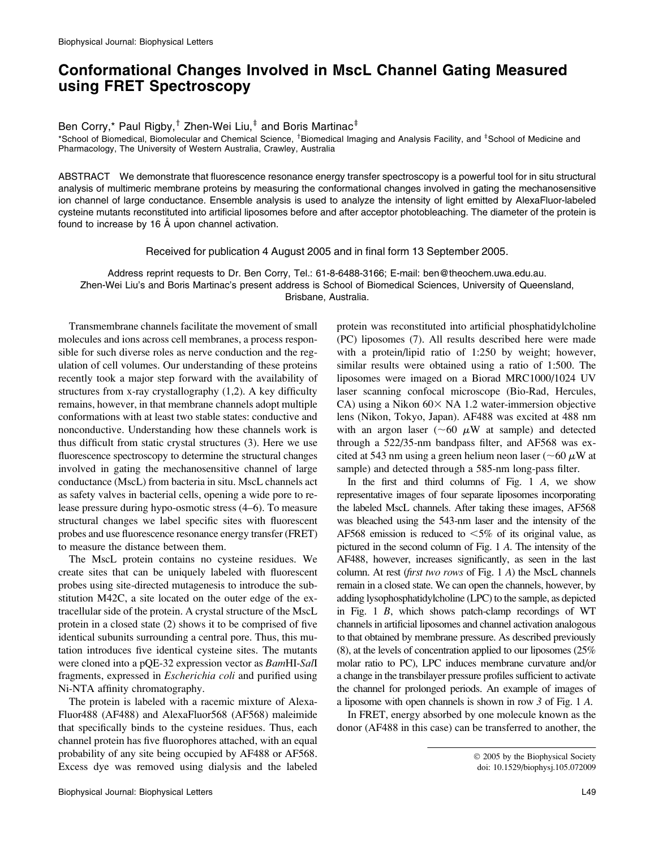## Conformational Changes Involved in MscL Channel Gating Measured using FRET Spectroscopy

Ben Corry,\* Paul Rigby,<sup>†</sup> Zhen-Wei Liu, $<sup>‡</sup>$  and Boris Martinac<sup>‡</sup></sup>

\*School of Biomedical, Biomolecular and Chemical Science, <sup>†</sup>Biomedical Imaging and Analysis Facility, and <sup>‡</sup>School of Medicine and Pharmacology, The University of Western Australia, Crawley, Australia

ABSTRACT We demonstrate that fluorescence resonance energy transfer spectroscopy is a powerful tool for in situ structural analysis of multimeric membrane proteins by measuring the conformational changes involved in gating the mechanosensitive ion channel of large conductance. Ensemble analysis is used to analyze the intensity of light emitted by AlexaFluor-labeled cysteine mutants reconstituted into artificial liposomes before and after acceptor photobleaching. The diameter of the protein is found to increase by 16  $\AA$  upon channel activation.

Received for publication 4 August 2005 and in final form 13 September 2005.

Address reprint requests to Dr. Ben Corry, Tel.: 61-8-6488-3166; E-mail: ben@theochem.uwa.edu.au. Zhen-Wei Liu's and Boris Martinac's present address is School of Biomedical Sciences, University of Queensland, Brisbane, Australia.

Transmembrane channels facilitate the movement of small molecules and ions across cell membranes, a process responsible for such diverse roles as nerve conduction and the regulation of cell volumes. Our understanding of these proteins recently took a major step forward with the availability of structures from x-ray crystallography (1,2). A key difficulty remains, however, in that membrane channels adopt multiple conformations with at least two stable states: conductive and nonconductive. Understanding how these channels work is thus difficult from static crystal structures (3). Here we use fluorescence spectroscopy to determine the structural changes involved in gating the mechanosensitive channel of large conductance (MscL) from bacteria in situ. MscL channels act as safety valves in bacterial cells, opening a wide pore to release pressure during hypo-osmotic stress (4–6). To measure structural changes we label specific sites with fluorescent probes and use fluorescence resonance energy transfer (FRET) to measure the distance between them.

The MscL protein contains no cysteine residues. We create sites that can be uniquely labeled with fluorescent probes using site-directed mutagenesis to introduce the substitution M42C, a site located on the outer edge of the extracellular side of the protein. A crystal structure of the MscL protein in a closed state (2) shows it to be comprised of five identical subunits surrounding a central pore. Thus, this mutation introduces five identical cysteine sites. The mutants were cloned into a pQE-32 expression vector as BamHI-SalI fragments, expressed in Escherichia coli and purified using Ni-NTA affinity chromatography.

The protein is labeled with a racemic mixture of Alexa-Fluor488 (AF488) and AlexaFluor568 (AF568) maleimide that specifically binds to the cysteine residues. Thus, each channel protein has five fluorophores attached, with an equal probability of any site being occupied by AF488 or AF568. Excess dye was removed using dialysis and the labeled

Biophysical Journal: Biophysical Letters L49

protein was reconstituted into artificial phosphatidylcholine (PC) liposomes (7). All results described here were made with a protein/lipid ratio of 1:250 by weight; however, similar results were obtained using a ratio of 1:500. The liposomes were imaged on a Biorad MRC1000/1024 UV laser scanning confocal microscope (Bio-Rad, Hercules, CA) using a Nikon  $60 \times$  NA 1.2 water-immersion objective lens (Nikon, Tokyo, Japan). AF488 was excited at 488 nm with an argon laser ( $\sim 60 \mu W$  at sample) and detected through a 522/35-nm bandpass filter, and AF568 was excited at 543 nm using a green helium neon laser ( $\sim$  60  $\mu$ W at sample) and detected through a 585-nm long-pass filter.

In the first and third columns of Fig. 1 A, we show representative images of four separate liposomes incorporating the labeled MscL channels. After taking these images, AF568 was bleached using the 543-nm laser and the intensity of the AF568 emission is reduced to  $\leq 5\%$  of its original value, as pictured in the second column of Fig. 1 A. The intensity of the AF488, however, increases significantly, as seen in the last column. At rest (first two rows of Fig. 1 A) the MscL channels remain in a closed state. We can open the channels, however, by adding lysophosphatidylcholine (LPC) to the sample, as depicted in Fig. 1 B, which shows patch-clamp recordings of WT channels in artificial liposomes and channel activation analogous to that obtained by membrane pressure. As described previously (8), at the levels of concentration applied to our liposomes (25% molar ratio to PC), LPC induces membrane curvature and/or a change in the transbilayer pressure profiles sufficient to activate the channel for prolonged periods. An example of images of a liposome with open channels is shown in row 3 of Fig. 1 A.

In FRET, energy absorbed by one molecule known as the donor (AF488 in this case) can be transferred to another, the

2005 by the Biophysical Society doi: 10.1529/biophysj.105.072009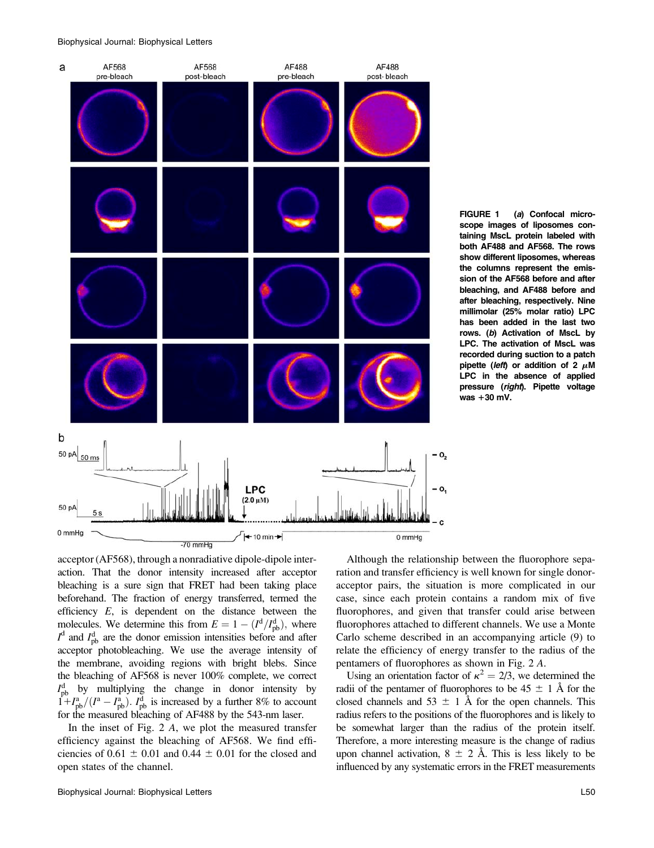Biophysical Journal: Biophysical Letters



FIGURE 1 (a) Confocal microscope images of liposomes containing MscL protein labeled with both AF488 and AF568. The rows show different liposomes, whereas the columns represent the emission of the AF568 before and after bleaching, and AF488 before and after bleaching, respectively. Nine millimolar (25% molar ratio) LPC has been added in the last two rows. (b) Activation of MscL by LPC. The activation of MscL was recorded during suction to a patch pipette (left) or addition of 2  $\mu$ M LPC in the absence of applied pressure (right). Pipette voltage was *1*30 mV.

acceptor (AF568), through a nonradiative dipole-dipole interaction. That the donor intensity increased after acceptor bleaching is a sure sign that FRET had been taking place beforehand. The fraction of energy transferred, termed the efficiency E, is dependent on the distance between the molecules. We determine this from  $E = 1 - (I^d/I_{\text{pb}}^d)$ , where  $I^d$  and  $I_{pb}^d$  are the donor emission intensities before and after acceptor photobleaching. We use the average intensity of the membrane, avoiding regions with bright blebs. Since the bleaching of AF568 is never 100% complete, we correct  $I_{\rm pb}^{\rm d}$  by multiplying the change in donor intensity by  $1 + I_{\rm pb}^{\rm a}/(I^{\rm a} - I_{\rm pb}^{\rm a})$ .  $I_{\rm pb}^{\rm d}$  is increased by a further 8% to account for the measured bleaching of AF488 by the 543-nm laser.

In the inset of Fig. 2 A, we plot the measured transfer efficiency against the bleaching of AF568. We find efficiencies of  $0.61 \pm 0.01$  and  $0.44 \pm 0.01$  for the closed and open states of the channel.

Biophysical Journal: Biophysical Letters L50

Although the relationship between the fluorophore separation and transfer efficiency is well known for single donoracceptor pairs, the situation is more complicated in our case, since each protein contains a random mix of five fluorophores, and given that transfer could arise between fluorophores attached to different channels. We use a Monte Carlo scheme described in an accompanying article (9) to relate the efficiency of energy transfer to the radius of the pentamers of fluorophores as shown in Fig. 2 A.

Using an orientation factor of  $\kappa^2 = 2/3$ , we determined the radii of the pentamer of fluorophores to be  $45 \pm 1$  Å for the closed channels and  $53 \pm 1$  Å for the open channels. This radius refers to the positions of the fluorophores and is likely to be somewhat larger than the radius of the protein itself. Therefore, a more interesting measure is the change of radius upon channel activation,  $8 \pm 2$  Å. This is less likely to be influenced by any systematic errors in the FRET measurements